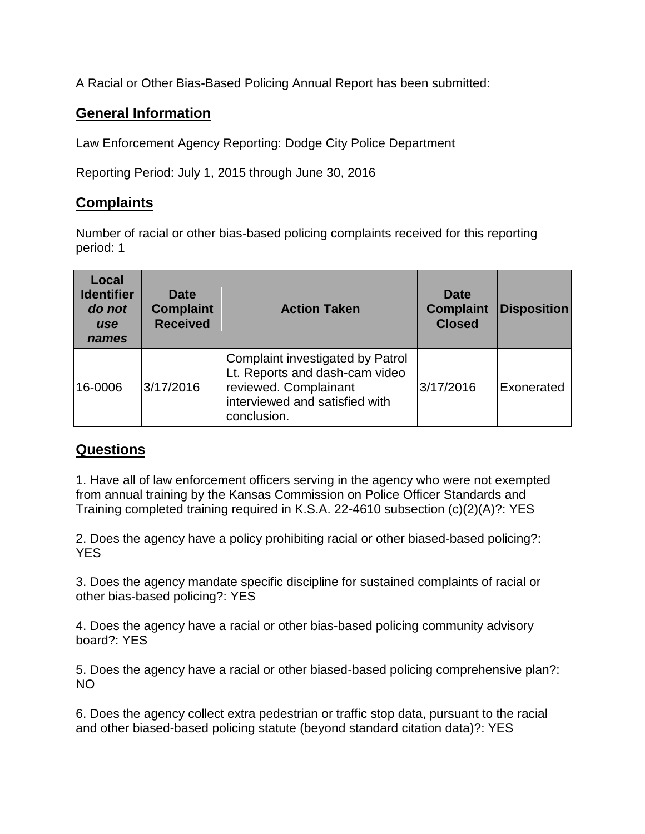A Racial or Other Bias-Based Policing Annual Report has been submitted:

## **General Information**

Law Enforcement Agency Reporting: Dodge City Police Department

Reporting Period: July 1, 2015 through June 30, 2016

## **Complaints**

Number of racial or other bias-based policing complaints received for this reporting period: 1

| Local<br><b>Identifier</b><br>do not<br><b>use</b><br>names | <b>Date</b><br><b>Complaint</b><br><b>Received</b> | <b>Action Taken</b>                                                                                                                          | Date<br><b>Complaint</b><br><b>Closed</b> | <b>Disposition</b> |
|-------------------------------------------------------------|----------------------------------------------------|----------------------------------------------------------------------------------------------------------------------------------------------|-------------------------------------------|--------------------|
| 16-0006                                                     | 3/17/2016                                          | Complaint investigated by Patrol<br>Lt. Reports and dash-cam video<br>reviewed. Complainant<br>interviewed and satisfied with<br>conclusion. | 3/17/2016                                 | Exonerated         |

## **Questions**

1. Have all of law enforcement officers serving in the agency who were not exempted from annual training by the Kansas Commission on Police Officer Standards and Training completed training required in K.S.A. 22-4610 subsection (c)(2)(A)?: YES

2. Does the agency have a policy prohibiting racial or other biased-based policing?: YES

3. Does the agency mandate specific discipline for sustained complaints of racial or other bias-based policing?: YES

4. Does the agency have a racial or other bias-based policing community advisory board?: YES

5. Does the agency have a racial or other biased-based policing comprehensive plan?: NO

6. Does the agency collect extra pedestrian or traffic stop data, pursuant to the racial and other biased-based policing statute (beyond standard citation data)?: YES